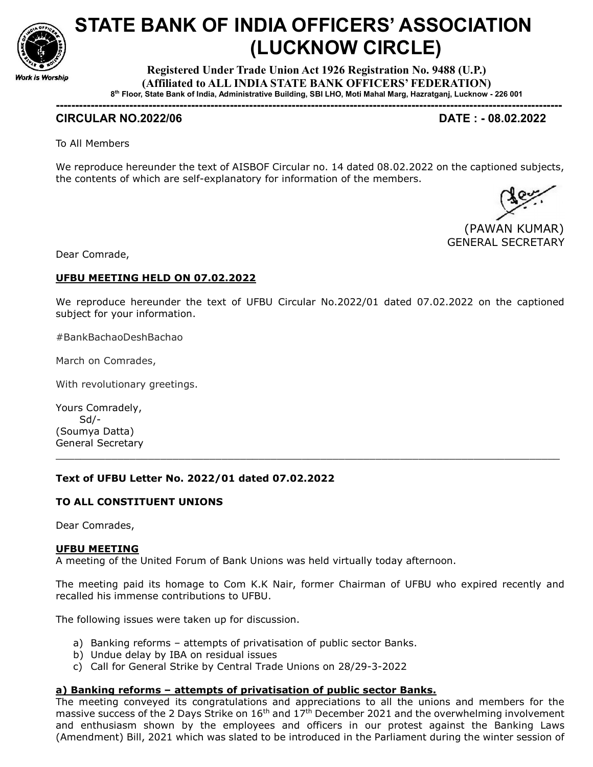

# STATE BANK OF INDIA OFFICERS' ASSOCIATION (LUCKNOW CIRCLE)

Registered Under Trade Union Act 1926 Registration No. 9488 (U.P.) (Affiliated to ALL INDIA STATE BANK OFFICERS' FEDERATION) 8 th Floor, State Bank of India, Administrative Building, SBI LHO, Moti Mahal Marg, Hazratganj, Lucknow - 226 001

-----------------------------------------------------------------------------------------------------------------------------------

# CIRCULAR NO.2022/06 DATE : - 08.02.2022

To All Members

We reproduce hereunder the text of AISBOF Circular no. 14 dated 08.02.2022 on the captioned subjects, the contents of which are self-explanatory for information of the members.

 (PAWAN KUMAR) GENERAL SECRETARY

Dear Comrade,

#### UFBU MEETING HELD ON 07.02.2022

We reproduce hereunder the text of UFBU Circular No.2022/01 dated 07.02.2022 on the captioned subject for your information.

#BankBachaoDeshBachao

March on Comrades,

With revolutionary greetings.

Yours Comradely, Sd/- (Soumya Datta) General Secretary

#### Text of UFBU Letter No. 2022/01 dated 07.02.2022

### TO ALL CONSTITUENT UNIONS

Dear Comrades,

#### UFBU MEETING

A meeting of the United Forum of Bank Unions was held virtually today afternoon.

The meeting paid its homage to Com K.K Nair, former Chairman of UFBU who expired recently and recalled his immense contributions to UFBU.

\_\_\_\_\_\_\_\_\_\_\_\_\_\_\_\_\_\_\_\_\_\_\_\_\_\_\_\_\_\_\_\_\_\_\_\_\_\_\_\_\_\_\_\_\_\_\_\_\_\_\_\_\_\_\_\_\_\_\_\_\_\_\_\_\_\_\_\_\_\_\_\_\_\_\_\_\_\_\_\_\_\_

The following issues were taken up for discussion.

- a) Banking reforms attempts of privatisation of public sector Banks.
- b) Undue delay by IBA on residual issues
- c) Call for General Strike by Central Trade Unions on 28/29-3-2022

#### a) Banking reforms – attempts of privatisation of public sector Banks.

The meeting conveyed its congratulations and appreciations to all the unions and members for the massive success of the 2 Days Strike on  $16<sup>th</sup>$  and  $17<sup>th</sup>$  December 2021 and the overwhelming involvement and enthusiasm shown by the employees and officers in our protest against the Banking Laws (Amendment) Bill, 2021 which was slated to be introduced in the Parliament during the winter session of